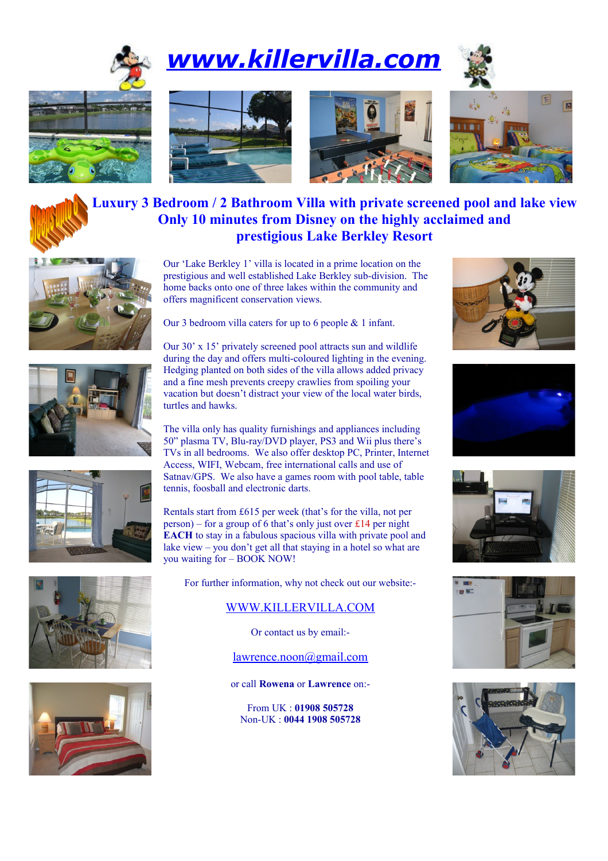

## *[www.killervilla.com](http://www.killervilla.com/)*









## **Luxury 3 Bedroom / 2 Bathroom Villa with private screened pool and lake view Only 10 minutes from Disney on the highly acclaimed and prestigious Lake Berkley Resort**











Our 'Lake Berkley 1' villa is located in a prime location on the prestigious and well established Lake Berkley sub-division. The home backs onto one of three lakes within the community and offers magnificent conservation views.

Our 3 bedroom villa caters for up to 6 people & 1 infant.

Our 30' x 15' privately screened pool attracts sun and wildlife during the day and offers multi-coloured lighting in the evening. Hedging planted on both sides of the villa allows added privacy and a fine mesh prevents creepy crawlies from spoiling your vacation but doesn't distract your view of the local water birds, turtles and hawks.

The villa only has quality furnishings and appliances including 50" plasma TV, Blu-ray/DVD player, PS3 and Wii plus there's TVs in all bedrooms. We also offer desktop PC, Printer, Internet Access, WIFI, Webcam, free international calls and use of Satnav/GPS. We also have a games room with pool table, table tennis, foosball and electronic darts.

Rentals start from £615 per week (that's for the villa, not per person) – for a group of 6 that's only just over £14 per night **EACH** to stay in a fabulous spacious villa with private pool and lake view – you don't get all that staying in a hotel so what are you waiting for – BOOK NOW!

For further information, why not check out our website:-

## [WWW.KILLERVILLA.COM](http://WWW.KILLERVILLA.COM/)

Or contact us by email:-

[lawrence.noon@gmail.com](mailto:lawrence.noon@gmail.com)

or call **Rowena** or **Lawrence** on:-

From UK : **01908 505728** Non-UK : **0044 1908 505728**